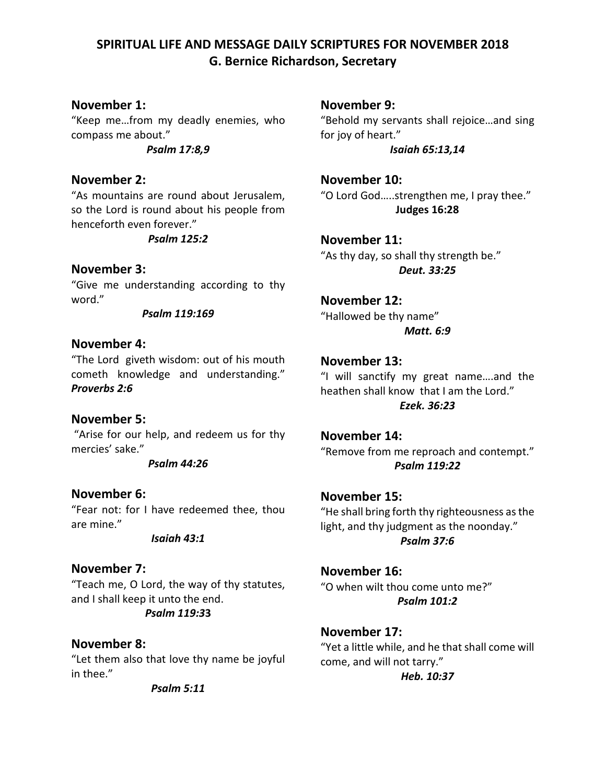## **SPIRITUAL LIFE AND MESSAGE DAILY SCRIPTURES FOR NOVEMBER 2018 G. Bernice Richardson, Secretary**

#### **November 1:**

"Keep me…from my deadly enemies, who compass me about."

*Psalm 17:8,9*

#### **November 2:**

"As mountains are round about Jerusalem, so the Lord is round about his people from henceforth even forever."

*Psalm 125:2*

#### **November 3:**

"Give me understanding according to thy word."

*Psalm 119:169*

#### **November 4:**

"The Lord giveth wisdom: out of his mouth cometh knowledge and understanding." *Proverbs 2:6*

#### **November 5:**

"Arise for our help, and redeem us for thy mercies' sake."

*Psalm 44:26*

**November 6:** "Fear not: for I have redeemed thee, thou are mine."

*Isaiah 43:1*

#### **November 7:**

"Teach me, O Lord, the way of thy statutes, and I shall keep it unto the end. *Psalm 119:3***3**

#### **November 8:**

"Let them also that love thy name be joyful in thee."

*Psalm 5:11*

**November 9:**

"Behold my servants shall rejoice…and sing for joy of heart." *Isaiah 65:13,14*

**November 10:** "O Lord God…..strengthen me, I pray thee." **Judges 16:28**

**November 11:** "As thy day, so shall thy strength be." *Deut. 33:25*

# **November 12:**

"Hallowed be thy name" *Matt. 6:9*

#### **November 13:**

"I will sanctify my great name….and the heathen shall know that I am the Lord." *Ezek. 36:23*

**November 14:** "Remove from me reproach and contempt." *Psalm 119:22*

**November 15:** "He shall bring forth thy righteousness as the light, and thy judgment as the noonday." *Psalm 37:6*

**November 16:** "O when wilt thou come unto me?" *Psalm 101:2*

## **November 17:** "Yet a little while, and he that shall come will come, and will not tarry."

*Heb. 10:37*